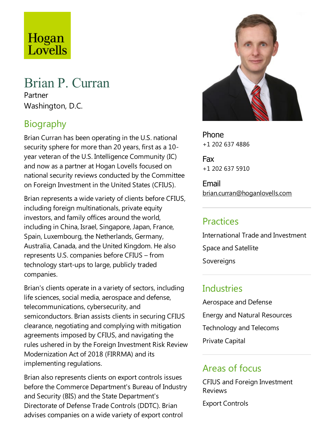# Hogan<br>Lovells

# Brian P. Curran

Partner Washington, D.C.

# Biography

Brian Curran has been operating in the U.S. national security sphere for more than 20 years, first as a 10year veteran of the U.S. Intelligence Community (IC) and now as a partner at Hogan Lovells focused on national security reviews conducted by the Committee on Foreign Investment in the United States (CFIUS).

Brian represents a wide variety of clients before CFIUS, including foreign multinationals, private equity investors, and family offices around the world, including in China, Israel, Singapore, Japan, France, Spain, Luxembourg, the Netherlands, Germany, Australia, Canada, and the United Kingdom. He also represents U.S.companies before CFIUS – from technology start-ups to large, publicly traded companies.

Brian's clients operate in a variety of sectors, including life sciences, social media, aerospace and defense, telecommunications, cybersecurity, and semiconductors. Brian assists clients in securing CFIUS clearance, negotiating and complying with mitigation agreements imposed by CFIUS, and navigating the rules ushered in by the Foreign Investment Risk Review Modernization Act of 2018 (FIRRMA) and its implementing regulations.

Brian also represents clients on export controls issues before the Commerce Department's Bureau of Industry and Security (BIS) and the State Department's Directorate of Defense Trade Controls (DDTC). Brian advises companies on a wide variety of export control



Phone +1 202 637 4886

Fax +1 202 637 5910

Email brian.curran@hoganlovells.com

#### Practices

International Trade and Investment Space and Satellite Sovereigns

#### **Industries**

Aerospace and Defense Energy and Natural Resources Technology and Telecoms Private Capital

#### Areas of focus

CFIUS and Foreign Investment Reviews

Export Controls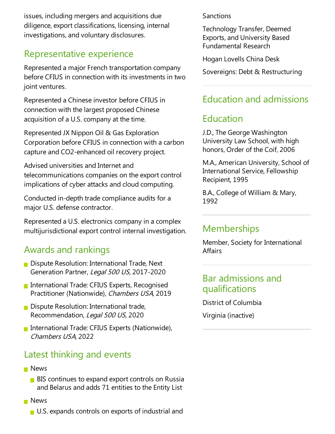issues, including mergers and acquisitions due diligence, export classifications, licensing, internal investigations, and voluntary disclosures.

#### Representative experience

Represented a major French transportation company before CFIUS in connection with its investments in two joint ventures.

Represented a Chinese investor before CFIUS in connection with the largest proposed Chinese acquisition of a U.S. company at the time.

Represented JX Nippon Oil & Gas Exploration Corporation before CFIUS in connection with a carbon capture and CO2-enhanced oil recovery project.

Advised universities and Internet and telecommunications companies on the export control implications of cyber attacks and cloud computing.

Conducted in-depth trade compliance audits for a major U.S. defense contractor.

Represented a U.S. electronics company in a complex multijurisdictional export control internal investigation.

# Awards and rankings

- $\blacksquare$  Dispute Resolution: International Trade, Next Generation Partner, Legal 500 US, 2017-2020
- **International Trade: CFIUS Experts, Recognised** Practitioner (Nationwide), Chambers USA, 2019
- **Dispute Resolution: International trade,** Recommendation, Legal 500 US, 2020
- International Trade: CFIUS Experts (Nationwide), Chambers USA, 2022

# Latest thinking and events

- **News** 
	- $\blacksquare$  BIS continues to expand export controls on Russia and Belarus and adds 71 entities to the Entity List
- **News** 
	- U.S. expands controls on exports of industrial and

**Sanctions** 

Technology Transfer, Deemed Exports, and University Based Fundamental Research

Hogan Lovells China Desk

Sovereigns: Debt & Restructuring

# Education and admissions

### Education

J.D.,The George Washington University Law School, with high honors, Order of the Coif, 2006

M.A., American University, School of International Service, Fellowship Recipient, 1995

B.A., College of William & Mary, 1992

#### **Memberships**

Member, Society for International Affairs

#### Bar admissions and qualifications

District of Columbia Virginia (inactive)